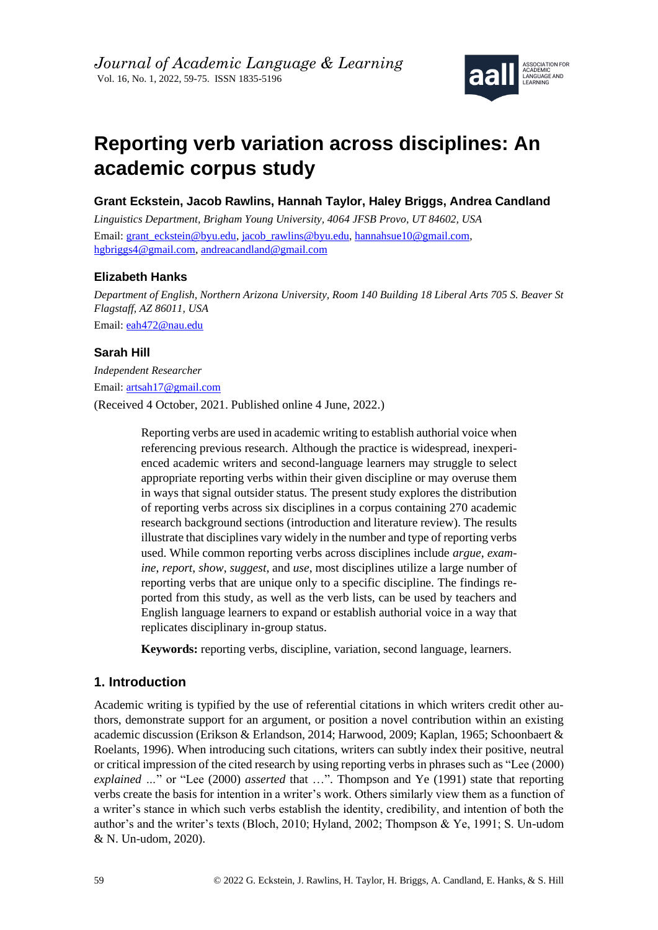

# **Reporting verb variation across disciplines: An academic corpus study**

**Grant Eckstein, Jacob Rawlins, Hannah Taylor, Haley Briggs, Andrea Candland**

*Linguistics Department, Brigham Young University, 4064 JFSB Provo, UT 84602, USA* Email: [grant\\_eckstein@byu.edu,](mailto:grant_eckstein@byu.edu) [jacob\\_rawlins@byu.edu,](mailto:jacob_rawlins@byu.edu) [hannahsue10@gmail.com,](mailto:hannahsue10@gmail.com) [hgbriggs4@gmail.com,](mailto:hgbriggs4@gmail.com) [andreacandland@gmail.com](mailto:andreacandland@gmail.com)

# **Elizabeth Hanks**

*Department of English, Northern Arizona University, Room 140 Building 18 Liberal Arts 705 S. Beaver St Flagstaff, AZ 86011, USA* Email: [eah472@nau.edu](mailto:eah472@nau.edu)

## **Sarah Hill**

*Independent Researcher* Email: [artsah17@gmail.com](mailto:artsah17@gmail.com) (Received 4 October, 2021. Published online 4 June, 2022.)

> Reporting verbs are used in academic writing to establish authorial voice when referencing previous research. Although the practice is widespread, inexperienced academic writers and second-language learners may struggle to select appropriate reporting verbs within their given discipline or may overuse them in ways that signal outsider status. The present study explores the distribution of reporting verbs across six disciplines in a corpus containing 270 academic research background sections (introduction and literature review). The results illustrate that disciplines vary widely in the number and type of reporting verbs used. While common reporting verbs across disciplines include *argue*, *examine*, *report*, *show*, *suggest*, and *use*, most disciplines utilize a large number of reporting verbs that are unique only to a specific discipline. The findings reported from this study, as well as the verb lists, can be used by teachers and English language learners to expand or establish authorial voice in a way that replicates disciplinary in-group status.

**Keywords:** reporting verbs, discipline, variation, second language, learners.

# **1. Introduction**

Academic writing is typified by the use of referential citations in which writers credit other authors, demonstrate support for an argument, or position a novel contribution within an existing academic discussion (Erikson & Erlandson, 2014; Harwood, 2009; Kaplan, 1965; Schoonbaert & Roelants, 1996). When introducing such citations, writers can subtly index their positive, neutral or critical impression of the cited research by using reporting verbs in phrases such as "Lee (2000) *explained …*" or "Lee (2000) *asserted* that …". Thompson and Ye (1991) state that reporting verbs create the basis for intention in a writer's work. Others similarly view them as a function of a writer's stance in which such verbs establish the identity, credibility, and intention of both the author's and the writer's texts (Bloch, 2010; Hyland, 2002; Thompson & Ye, 1991; S. Un-udom & N. Un-udom, 2020).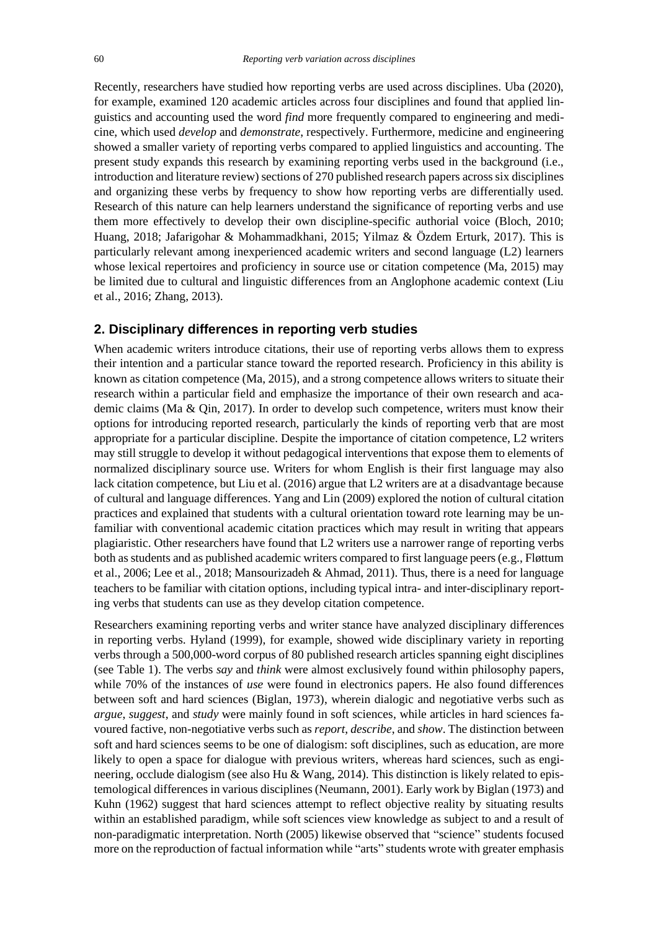Recently, researchers have studied how reporting verbs are used across disciplines. Uba (2020), for example, examined 120 academic articles across four disciplines and found that applied linguistics and accounting used the word *find* more frequently compared to engineering and medicine, which used *develop* and *demonstrate*, respectively. Furthermore, medicine and engineering showed a smaller variety of reporting verbs compared to applied linguistics and accounting. The present study expands this research by examining reporting verbs used in the background (i.e., introduction and literature review) sections of 270 published research papers across six disciplines and organizing these verbs by frequency to show how reporting verbs are differentially used. Research of this nature can help learners understand the significance of reporting verbs and use them more effectively to develop their own discipline-specific authorial voice (Bloch, 2010; Huang, 2018; Jafarigohar & Mohammadkhani, 2015; Yilmaz & Özdem Erturk, 2017). This is particularly relevant among inexperienced academic writers and second language (L2) learners whose lexical repertoires and proficiency in source use or citation competence (Ma, 2015) may be limited due to cultural and linguistic differences from an Anglophone academic context (Liu et al., 2016; Zhang, 2013).

#### **2. Disciplinary differences in reporting verb studies**

When academic writers introduce citations, their use of reporting verbs allows them to express their intention and a particular stance toward the reported research. Proficiency in this ability is known as citation competence (Ma, 2015), and a strong competence allows writers to situate their research within a particular field and emphasize the importance of their own research and academic claims (Ma & Qin, 2017). In order to develop such competence, writers must know their options for introducing reported research, particularly the kinds of reporting verb that are most appropriate for a particular discipline. Despite the importance of citation competence, L2 writers may still struggle to develop it without pedagogical interventions that expose them to elements of normalized disciplinary source use. Writers for whom English is their first language may also lack citation competence, but Liu et al. (2016) argue that L2 writers are at a disadvantage because of cultural and language differences. Yang and Lin (2009) explored the notion of cultural citation practices and explained that students with a cultural orientation toward rote learning may be unfamiliar with conventional academic citation practices which may result in writing that appears plagiaristic. Other researchers have found that L2 writers use a narrower range of reporting verbs both as students and as published academic writers compared to first language peers (e.g., Fløttum et al., 2006; Lee et al., 2018; Mansourizadeh & Ahmad, 2011). Thus, there is a need for language teachers to be familiar with citation options, including typical intra- and inter-disciplinary reporting verbs that students can use as they develop citation competence.

Researchers examining reporting verbs and writer stance have analyzed disciplinary differences in reporting verbs. Hyland (1999), for example, showed wide disciplinary variety in reporting verbs through a 500,000-word corpus of 80 published research articles spanning eight disciplines (see Table 1). The verbs *say* and *think* were almost exclusively found within philosophy papers, while 70% of the instances of *use* were found in electronics papers. He also found differences between soft and hard sciences (Biglan, 1973), wherein dialogic and negotiative verbs such as *argue*, *suggest*, and *study* were mainly found in soft sciences, while articles in hard sciences favoured factive, non-negotiative verbs such as *report*, *describe*, and *show*. The distinction between soft and hard sciences seems to be one of dialogism: soft disciplines, such as education, are more likely to open a space for dialogue with previous writers, whereas hard sciences, such as engineering, occlude dialogism (see also Hu & Wang, 2014). This distinction is likely related to epistemological differences in various disciplines (Neumann, 2001). Early work by Biglan (1973) and Kuhn (1962) suggest that hard sciences attempt to reflect objective reality by situating results within an established paradigm, while soft sciences view knowledge as subject to and a result of non-paradigmatic interpretation. North (2005) likewise observed that "science" students focused more on the reproduction of factual information while "arts" students wrote with greater emphasis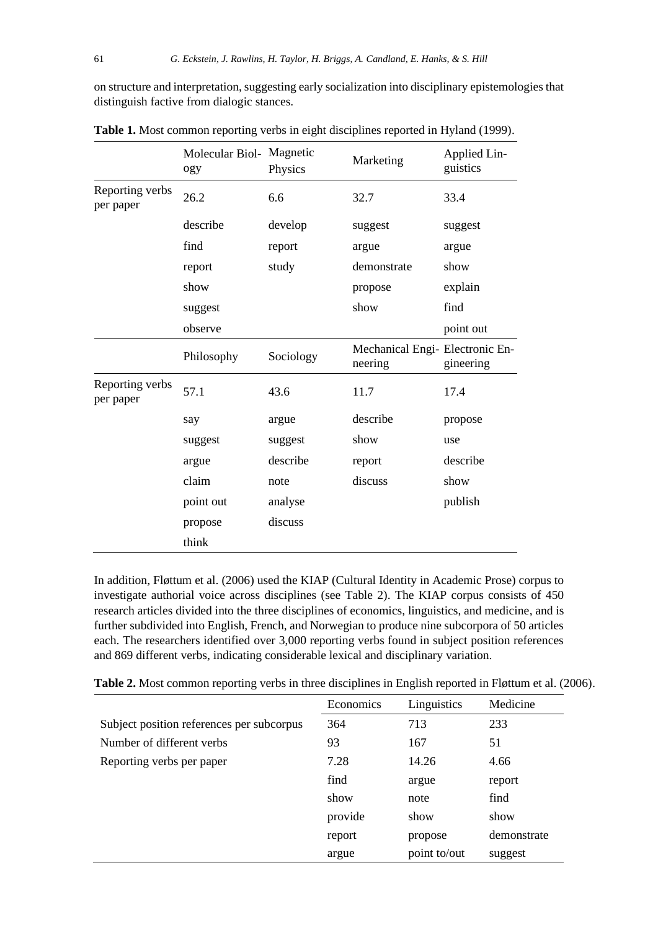on structure and interpretation, suggesting early socialization into disciplinary epistemologies that distinguish factive from dialogic stances.

|                              | Molecular Biol- Magnetic<br>ogy | Physics   | Marketing                                  | Applied Lin-<br>guistics |  |
|------------------------------|---------------------------------|-----------|--------------------------------------------|--------------------------|--|
| Reporting verbs<br>per paper | 26.2                            | 6.6       | 32.7                                       | 33.4                     |  |
|                              | describe                        | develop   | suggest                                    | suggest                  |  |
|                              | find                            | report    | argue                                      | argue                    |  |
|                              | report                          | study     | demonstrate                                | show                     |  |
|                              | show                            |           | propose                                    | explain                  |  |
|                              | suggest                         |           | show                                       | find                     |  |
|                              | observe                         |           |                                            | point out                |  |
|                              | Philosophy                      | Sociology | Mechanical Engi- Electronic En-<br>neering | gineering                |  |
| Reporting verbs<br>per paper | 57.1                            | 43.6      | 11.7                                       | 17.4                     |  |
|                              | say                             | argue     | describe                                   | propose                  |  |
|                              | suggest                         | suggest   | show                                       | use                      |  |
|                              | argue                           | describe  | report                                     | describe                 |  |
|                              | claim                           | note      | discuss                                    | show                     |  |
|                              | point out                       | analyse   |                                            | publish                  |  |
|                              | propose                         | discuss   |                                            |                          |  |
|                              | think                           |           |                                            |                          |  |

**Table 1.** Most common reporting verbs in eight disciplines reported in Hyland (1999).

In addition, Fløttum et al. (2006) used the KIAP (Cultural Identity in Academic Prose) corpus to investigate authorial voice across disciplines (see Table 2). The KIAP corpus consists of 450 research articles divided into the three disciplines of economics, linguistics, and medicine, and is further subdivided into English, French, and Norwegian to produce nine subcorpora of 50 articles each. The researchers identified over 3,000 reporting verbs found in subject position references and 869 different verbs, indicating considerable lexical and disciplinary variation.

| Table 2. Most common reporting verbs in three disciplines in English reported in Fløttum et al. (2006). |  |  |  |  |  |
|---------------------------------------------------------------------------------------------------------|--|--|--|--|--|
|---------------------------------------------------------------------------------------------------------|--|--|--|--|--|

|                                           | Economics | Linguistics  | Medicine    |
|-------------------------------------------|-----------|--------------|-------------|
| Subject position references per subcorpus | 364       | 713          | 233         |
| Number of different verbs                 | 93        | 167          | 51          |
| Reporting verbs per paper                 | 7.28      | 14.26        | 4.66        |
|                                           | find      | argue        | report      |
|                                           | show      | note         | find        |
|                                           | provide   | show         | show        |
|                                           | report    | propose      | demonstrate |
|                                           | argue     | point to/out | suggest     |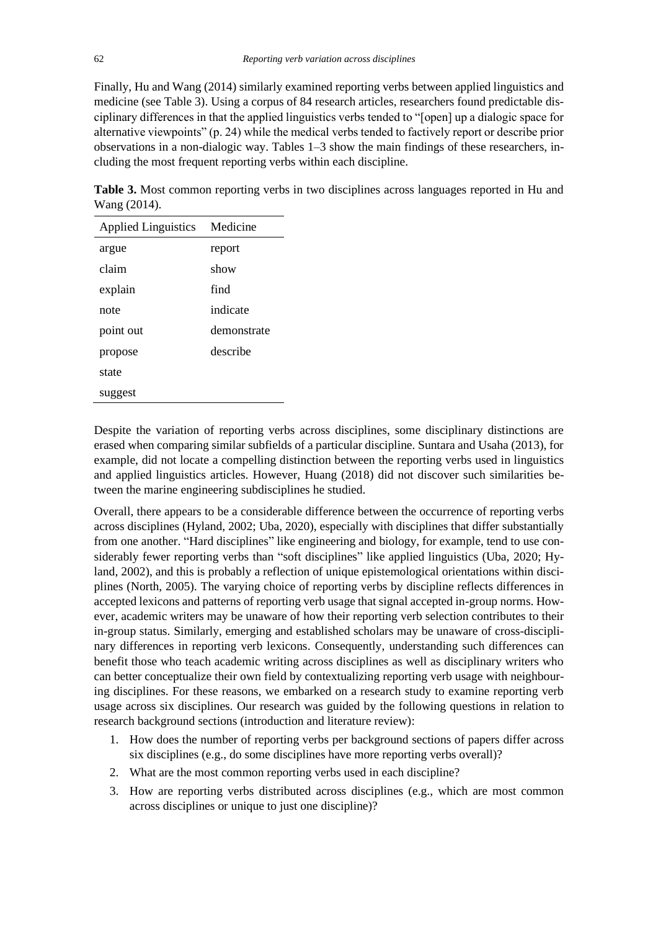Finally, Hu and Wang (2014) similarly examined reporting verbs between applied linguistics and medicine (see Table 3). Using a corpus of 84 research articles, researchers found predictable disciplinary differences in that the applied linguistics verbs tended to "[open] up a dialogic space for alternative viewpoints" (p. 24) while the medical verbs tended to factively report or describe prior observations in a non-dialogic way. Tables 1–3 show the main findings of these researchers, including the most frequent reporting verbs within each discipline.

**Table 3.** Most common reporting verbs in two disciplines across languages reported in Hu and Wang (2014).

| <b>Applied Linguistics</b> | Medicine    |
|----------------------------|-------------|
| argue                      | report      |
| claim                      | show        |
| explain                    | find        |
| note                       | indicate    |
| point out                  | demonstrate |
| propose                    | describe    |
| state                      |             |
| suggest                    |             |

Despite the variation of reporting verbs across disciplines, some disciplinary distinctions are erased when comparing similar subfields of a particular discipline. Suntara and Usaha (2013), for example, did not locate a compelling distinction between the reporting verbs used in linguistics and applied linguistics articles. However, Huang (2018) did not discover such similarities between the marine engineering subdisciplines he studied.

Overall, there appears to be a considerable difference between the occurrence of reporting verbs across disciplines (Hyland, 2002; Uba, 2020), especially with disciplines that differ substantially from one another. "Hard disciplines" like engineering and biology, for example, tend to use considerably fewer reporting verbs than "soft disciplines" like applied linguistics (Uba, 2020; Hyland, 2002), and this is probably a reflection of unique epistemological orientations within disciplines (North, 2005). The varying choice of reporting verbs by discipline reflects differences in accepted lexicons and patterns of reporting verb usage that signal accepted in-group norms. However, academic writers may be unaware of how their reporting verb selection contributes to their in-group status. Similarly, emerging and established scholars may be unaware of cross-disciplinary differences in reporting verb lexicons. Consequently, understanding such differences can benefit those who teach academic writing across disciplines as well as disciplinary writers who can better conceptualize their own field by contextualizing reporting verb usage with neighbouring disciplines. For these reasons, we embarked on a research study to examine reporting verb usage across six disciplines. Our research was guided by the following questions in relation to research background sections (introduction and literature review):

- 1. How does the number of reporting verbs per background sections of papers differ across six disciplines (e.g., do some disciplines have more reporting verbs overall)?
- 2. What are the most common reporting verbs used in each discipline?
- 3. How are reporting verbs distributed across disciplines (e.g., which are most common across disciplines or unique to just one discipline)?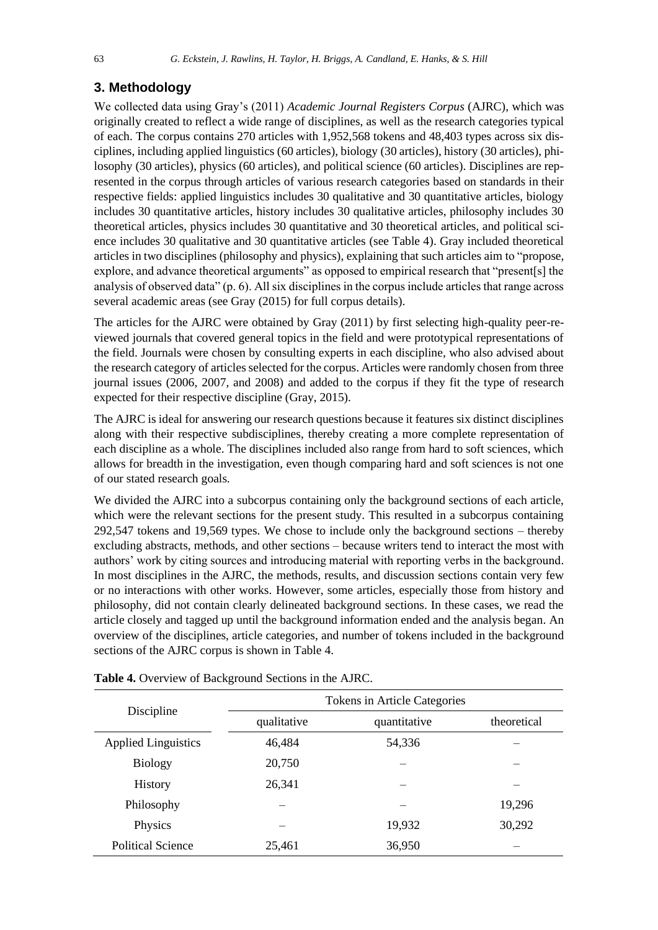## **3. Methodology**

We collected data using Gray's (2011) *Academic Journal Registers Corpus* (AJRC), which was originally created to reflect a wide range of disciplines, as well as the research categories typical of each. The corpus contains 270 articles with 1,952,568 tokens and 48,403 types across six disciplines, including applied linguistics (60 articles), biology (30 articles), history (30 articles), philosophy (30 articles), physics (60 articles), and political science (60 articles). Disciplines are represented in the corpus through articles of various research categories based on standards in their respective fields: applied linguistics includes 30 qualitative and 30 quantitative articles, biology includes 30 quantitative articles, history includes 30 qualitative articles, philosophy includes 30 theoretical articles, physics includes 30 quantitative and 30 theoretical articles, and political science includes 30 qualitative and 30 quantitative articles (see Table 4). Gray included theoretical articles in two disciplines (philosophy and physics), explaining that such articles aim to "propose, explore, and advance theoretical arguments" as opposed to empirical research that "present[s] the analysis of observed data" (p. 6). All six disciplines in the corpus include articles that range across several academic areas (see Gray (2015) for full corpus details).

The articles for the AJRC were obtained by Gray (2011) by first selecting high-quality peer-reviewed journals that covered general topics in the field and were prototypical representations of the field. Journals were chosen by consulting experts in each discipline, who also advised about the research category of articles selected for the corpus. Articles were randomly chosen from three journal issues (2006, 2007, and 2008) and added to the corpus if they fit the type of research expected for their respective discipline (Gray, 2015).

The AJRC is ideal for answering our research questions because it features six distinct disciplines along with their respective subdisciplines, thereby creating a more complete representation of each discipline as a whole. The disciplines included also range from hard to soft sciences, which allows for breadth in the investigation, even though comparing hard and soft sciences is not one of our stated research goals.

We divided the AJRC into a subcorpus containing only the background sections of each article, which were the relevant sections for the present study. This resulted in a subcorpus containing 292,547 tokens and 19,569 types. We chose to include only the background sections – thereby excluding abstracts, methods, and other sections – because writers tend to interact the most with authors' work by citing sources and introducing material with reporting verbs in the background. In most disciplines in the AJRC, the methods, results, and discussion sections contain very few or no interactions with other works. However, some articles, especially those from history and philosophy, did not contain clearly delineated background sections. In these cases, we read the article closely and tagged up until the background information ended and the analysis began. An overview of the disciplines, article categories, and number of tokens included in the background sections of the AJRC corpus is shown in Table 4.

|                            | Tokens in Article Categories |              |             |  |  |  |  |  |
|----------------------------|------------------------------|--------------|-------------|--|--|--|--|--|
| Discipline                 | qualitative                  | quantitative | theoretical |  |  |  |  |  |
| <b>Applied Linguistics</b> | 46,484                       | 54,336       |             |  |  |  |  |  |
| <b>Biology</b>             | 20,750                       |              |             |  |  |  |  |  |
| History                    | 26,341                       |              |             |  |  |  |  |  |
| Philosophy                 |                              |              | 19,296      |  |  |  |  |  |
| Physics                    |                              | 19,932       | 30,292      |  |  |  |  |  |
| <b>Political Science</b>   | 25,461                       | 36,950       |             |  |  |  |  |  |

**Table 4.** Overview of Background Sections in the AJRC.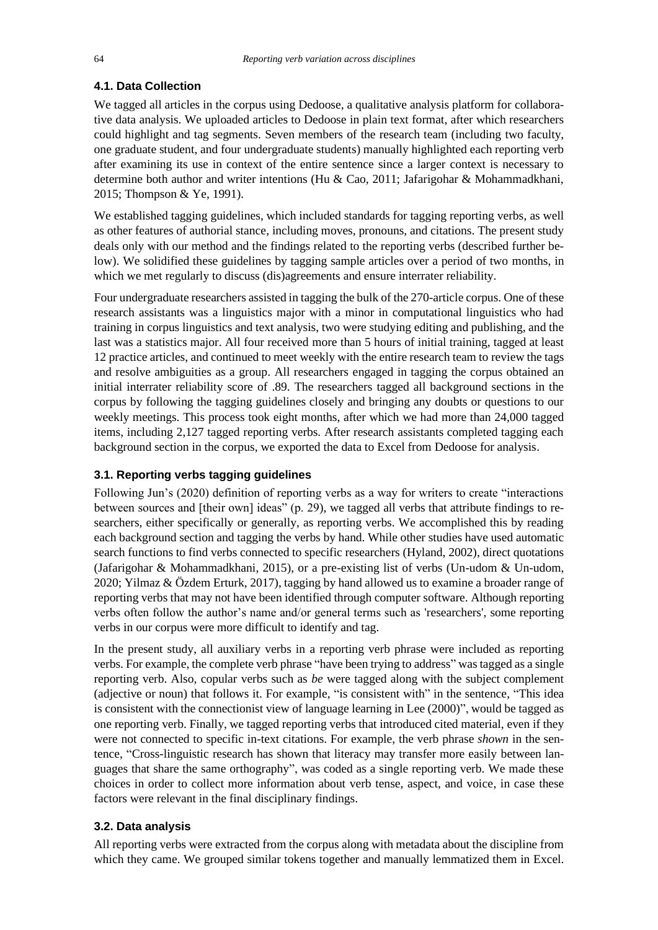### **4.1. Data Collection**

We tagged all articles in the corpus using Dedoose, a qualitative analysis platform for collaborative data analysis. We uploaded articles to Dedoose in plain text format, after which researchers could highlight and tag segments. Seven members of the research team (including two faculty, one graduate student, and four undergraduate students) manually highlighted each reporting verb after examining its use in context of the entire sentence since a larger context is necessary to determine both author and writer intentions (Hu & Cao, 2011; Jafarigohar & Mohammadkhani, 2015; Thompson & Ye, 1991).

We established tagging guidelines, which included standards for tagging reporting verbs, as well as other features of authorial stance, including moves, pronouns, and citations. The present study deals only with our method and the findings related to the reporting verbs (described further below). We solidified these guidelines by tagging sample articles over a period of two months, in which we met regularly to discuss (dis)agreements and ensure interrater reliability.

Four undergraduate researchers assisted in tagging the bulk of the 270-article corpus. One of these research assistants was a linguistics major with a minor in computational linguistics who had training in corpus linguistics and text analysis, two were studying editing and publishing, and the last was a statistics major. All four received more than 5 hours of initial training, tagged at least 12 practice articles, and continued to meet weekly with the entire research team to review the tags and resolve ambiguities as a group. All researchers engaged in tagging the corpus obtained an initial interrater reliability score of .89. The researchers tagged all background sections in the corpus by following the tagging guidelines closely and bringing any doubts or questions to our weekly meetings. This process took eight months, after which we had more than 24,000 tagged items, including 2,127 tagged reporting verbs. After research assistants completed tagging each background section in the corpus, we exported the data to Excel from Dedoose for analysis.

## **3.1. Reporting verbs tagging guidelines**

Following Jun's (2020) definition of reporting verbs as a way for writers to create "interactions between sources and [their own] ideas" (p. 29), we tagged all verbs that attribute findings to researchers, either specifically or generally, as reporting verbs. We accomplished this by reading each background section and tagging the verbs by hand. While other studies have used automatic search functions to find verbs connected to specific researchers (Hyland, 2002), direct quotations (Jafarigohar & Mohammadkhani, 2015), or a pre-existing list of verbs (Un-udom & Un-udom, 2020; Yilmaz & Özdem Erturk, 2017), tagging by hand allowed us to examine a broader range of reporting verbs that may not have been identified through computer software. Although reporting verbs often follow the author's name and/or general terms such as 'researchers', some reporting verbs in our corpus were more difficult to identify and tag.

In the present study, all auxiliary verbs in a reporting verb phrase were included as reporting verbs. For example, the complete verb phrase "have been trying to address" was tagged as a single reporting verb. Also, copular verbs such as *be* were tagged along with the subject complement (adjective or noun) that follows it. For example, "is consistent with" in the sentence, "This idea is consistent with the connectionist view of language learning in Lee (2000)", would be tagged as one reporting verb. Finally, we tagged reporting verbs that introduced cited material, even if they were not connected to specific in-text citations. For example, the verb phrase *shown* in the sentence, "Cross-linguistic research has shown that literacy may transfer more easily between languages that share the same orthography", was coded as a single reporting verb. We made these choices in order to collect more information about verb tense, aspect, and voice, in case these factors were relevant in the final disciplinary findings.

#### **3.2. Data analysis**

All reporting verbs were extracted from the corpus along with metadata about the discipline from which they came. We grouped similar tokens together and manually lemmatized them in Excel.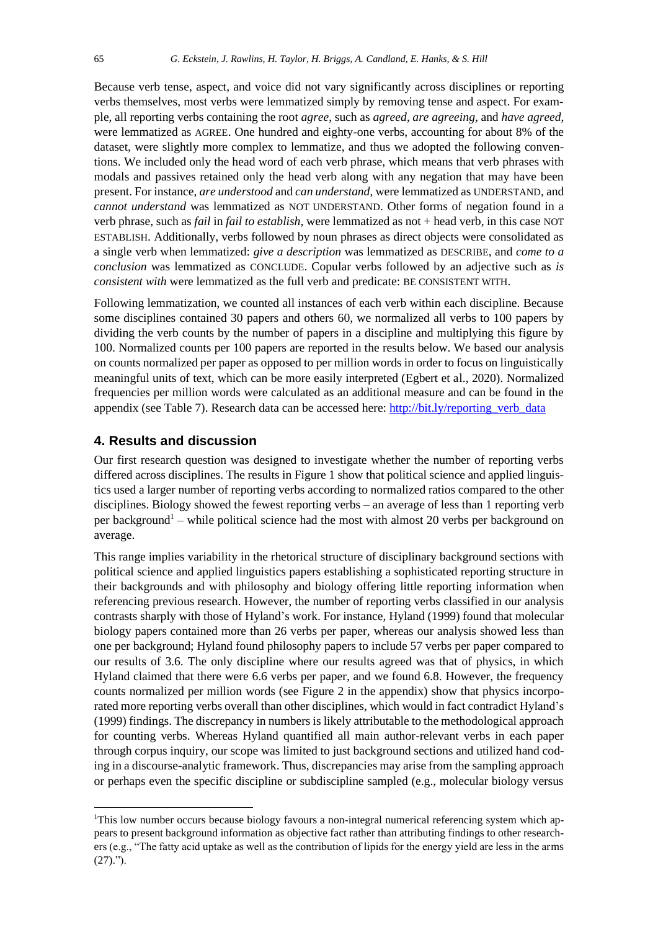Because verb tense, aspect, and voice did not vary significantly across disciplines or reporting verbs themselves, most verbs were lemmatized simply by removing tense and aspect. For example, all reporting verbs containing the root *agree*, such as *agreed*, *are agreeing*, and *have agreed*, were lemmatized as AGREE. One hundred and eighty-one verbs, accounting for about 8% of the dataset, were slightly more complex to lemmatize, and thus we adopted the following conventions. We included only the head word of each verb phrase, which means that verb phrases with modals and passives retained only the head verb along with any negation that may have been present. For instance, *are understood* and *can understand*, were lemmatized as UNDERSTAND, and *cannot understand* was lemmatized as NOT UNDERSTAND. Other forms of negation found in a verb phrase, such as *fail* in *fail to establish*, were lemmatized as not + head verb, in this case NOT ESTABLISH. Additionally, verbs followed by noun phrases as direct objects were consolidated as a single verb when lemmatized: *give a description* was lemmatized as DESCRIBE, and *come to a conclusion* was lemmatized as CONCLUDE. Copular verbs followed by an adjective such as *is consistent with* were lemmatized as the full verb and predicate: BE CONSISTENT WITH.

Following lemmatization, we counted all instances of each verb within each discipline. Because some disciplines contained 30 papers and others 60, we normalized all verbs to 100 papers by dividing the verb counts by the number of papers in a discipline and multiplying this figure by 100. Normalized counts per 100 papers are reported in the results below. We based our analysis on counts normalized per paper as opposed to per million words in order to focus on linguistically meaningful units of text, which can be more easily interpreted (Egbert et al., 2020). Normalized frequencies per million words were calculated as an additional measure and can be found in the appendix (see Table 7). Research data can be accessed here: [http://bit.ly/reporting\\_verb\\_data](http://bit.ly/reporting_verb_data)

## **4. Results and discussion**

Our first research question was designed to investigate whether the number of reporting verbs differed across disciplines. The results in Figure 1 show that political science and applied linguistics used a larger number of reporting verbs according to normalized ratios compared to the other disciplines. Biology showed the fewest reporting verbs – an average of less than 1 reporting verb per background<sup>1</sup> – while political science had the most with almost 20 verbs per background on average.

This range implies variability in the rhetorical structure of disciplinary background sections with political science and applied linguistics papers establishing a sophisticated reporting structure in their backgrounds and with philosophy and biology offering little reporting information when referencing previous research. However, the number of reporting verbs classified in our analysis contrasts sharply with those of Hyland's work. For instance, Hyland (1999) found that molecular biology papers contained more than 26 verbs per paper, whereas our analysis showed less than one per background; Hyland found philosophy papers to include 57 verbs per paper compared to our results of 3.6. The only discipline where our results agreed was that of physics, in which Hyland claimed that there were 6.6 verbs per paper, and we found 6.8. However, the frequency counts normalized per million words (see Figure 2 in the appendix) show that physics incorporated more reporting verbs overall than other disciplines, which would in fact contradict Hyland's (1999) findings. The discrepancy in numbers is likely attributable to the methodological approach for counting verbs. Whereas Hyland quantified all main author-relevant verbs in each paper through corpus inquiry, our scope was limited to just background sections and utilized hand coding in a discourse-analytic framework. Thus, discrepancies may arise from the sampling approach or perhaps even the specific discipline or subdiscipline sampled (e.g., molecular biology versus

<sup>&</sup>lt;sup>1</sup>This low number occurs because biology favours a non-integral numerical referencing system which appears to present background information as objective fact rather than attributing findings to other researchers (e.g., "The fatty acid uptake as well as the contribution of lipids for the energy yield are less in the arms  $(27).$ ").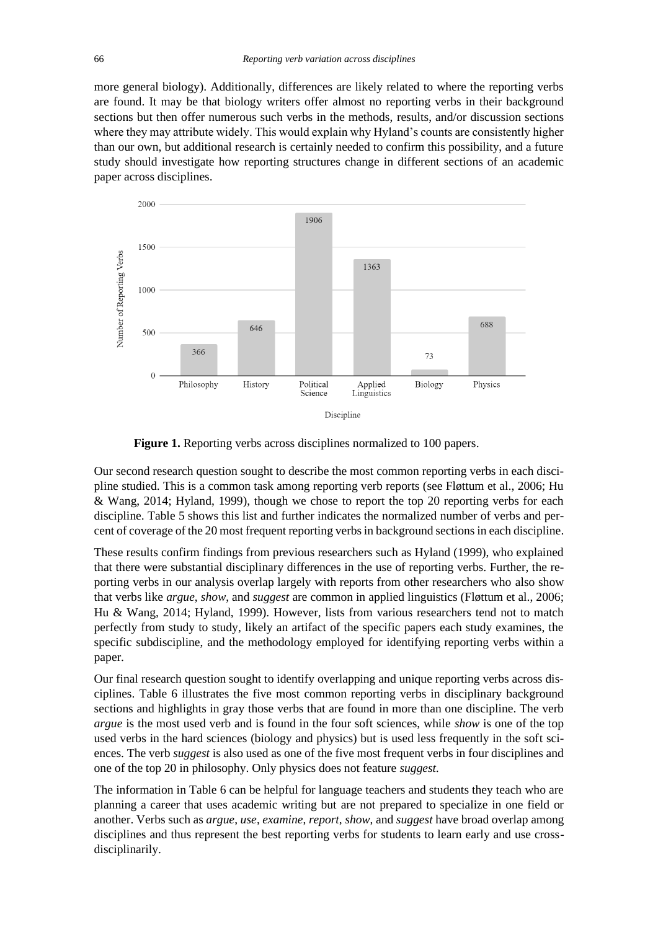more general biology). Additionally, differences are likely related to where the reporting verbs are found. It may be that biology writers offer almost no reporting verbs in their background sections but then offer numerous such verbs in the methods, results, and/or discussion sections where they may attribute widely. This would explain why Hyland's counts are consistently higher than our own, but additional research is certainly needed to confirm this possibility, and a future study should investigate how reporting structures change in different sections of an academic paper across disciplines.



**Figure 1.** Reporting verbs across disciplines normalized to 100 papers.

Our second research question sought to describe the most common reporting verbs in each discipline studied. This is a common task among reporting verb reports (see Fløttum et al., 2006; Hu & Wang, 2014; Hyland, 1999), though we chose to report the top 20 reporting verbs for each discipline. Table 5 shows this list and further indicates the normalized number of verbs and percent of coverage of the 20 most frequent reporting verbs in background sectionsin each discipline.

These results confirm findings from previous researchers such as Hyland (1999), who explained that there were substantial disciplinary differences in the use of reporting verbs. Further, the reporting verbs in our analysis overlap largely with reports from other researchers who also show that verbs like *argue*, *show*, and *suggest* are common in applied linguistics (Fløttum et al., 2006; Hu & Wang, 2014; Hyland, 1999). However, lists from various researchers tend not to match perfectly from study to study, likely an artifact of the specific papers each study examines, the specific subdiscipline, and the methodology employed for identifying reporting verbs within a paper.

Our final research question sought to identify overlapping and unique reporting verbs across disciplines. Table 6 illustrates the five most common reporting verbs in disciplinary background sections and highlights in gray those verbs that are found in more than one discipline. The verb *argue* is the most used verb and is found in the four soft sciences, while *show* is one of the top used verbs in the hard sciences (biology and physics) but is used less frequently in the soft sciences. The verb *suggest* is also used as one of the five most frequent verbs in four disciplines and one of the top 20 in philosophy. Only physics does not feature *suggest.*

The information in Table 6 can be helpful for language teachers and students they teach who are planning a career that uses academic writing but are not prepared to specialize in one field or another. Verbs such as *argue*, *use*, *examine*, *report*, *show*, and *suggest* have broad overlap among disciplines and thus represent the best reporting verbs for students to learn early and use crossdisciplinarily.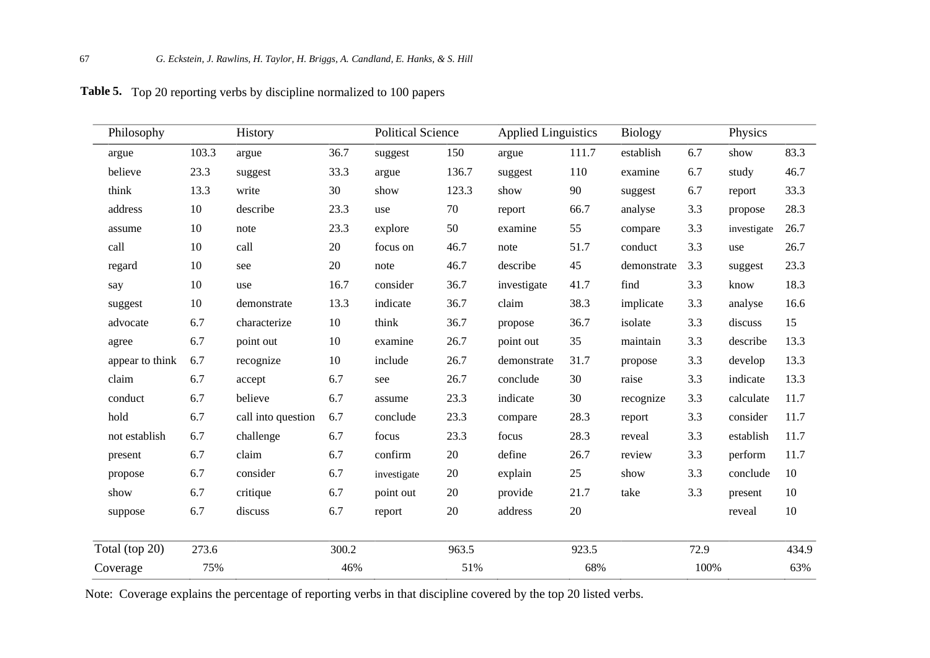| Philosophy      |       | History            |       | <b>Political Science</b> |       | <b>Applied Linguistics</b> |       |             | Physics |             |        |
|-----------------|-------|--------------------|-------|--------------------------|-------|----------------------------|-------|-------------|---------|-------------|--------|
| argue           | 103.3 | argue              | 36.7  | suggest                  | 150   | argue                      | 111.7 | establish   | 6.7     | show        | 83.3   |
| believe         | 23.3  | suggest            | 33.3  | argue                    | 136.7 | suggest                    | 110   | examine     | 6.7     | study       | 46.7   |
| think           | 13.3  | write              | 30    | show                     | 123.3 | show                       | 90    | suggest     | 6.7     | report      | 33.3   |
| address         | 10    | describe           | 23.3  | use                      | 70    | report                     | 66.7  | analyse     | 3.3     | propose     | 28.3   |
| assume          | 10    | note               | 23.3  | explore                  | 50    | examine                    | 55    | compare     | 3.3     | investigate | 26.7   |
| call            | 10    | call               | 20    | focus on                 | 46.7  | note                       | 51.7  | conduct     | 3.3     | use         | 26.7   |
| regard          | 10    | see                | 20    | note                     | 46.7  | describe                   | 45    | demonstrate | 3.3     | suggest     | 23.3   |
| say             | 10    | use                | 16.7  | consider                 | 36.7  | investigate                | 41.7  | find        | 3.3     | know        | 18.3   |
| suggest         | 10    | demonstrate        | 13.3  | indicate                 | 36.7  | claim                      | 38.3  | implicate   | 3.3     | analyse     | 16.6   |
| advocate        | 6.7   | characterize       | 10    | think                    | 36.7  | propose                    | 36.7  | isolate     | 3.3     | discuss     | 15     |
| agree           | 6.7   | point out          | 10    | examine                  | 26.7  | point out                  | 35    | maintain    | 3.3     | describe    | 13.3   |
| appear to think | 6.7   | recognize          | 10    | include                  | 26.7  | demonstrate                | 31.7  | propose     | 3.3     | develop     | 13.3   |
| claim           | 6.7   | accept             | 6.7   | see                      | 26.7  | conclude                   | 30    | raise       | 3.3     | indicate    | 13.3   |
| conduct         | 6.7   | believe            | 6.7   | assume                   | 23.3  | indicate                   | 30    | recognize   | 3.3     | calculate   | 11.7   |
| hold            | 6.7   | call into question | 6.7   | conclude                 | 23.3  | compare                    | 28.3  | report      | 3.3     | consider    | 11.7   |
| not establish   | 6.7   | challenge          | 6.7   | focus                    | 23.3  | focus                      | 28.3  | reveal      | 3.3     | establish   | 11.7   |
| present         | 6.7   | claim              | 6.7   | confirm                  | 20    | define                     | 26.7  | review      | 3.3     | perform     | 11.7   |
| propose         | 6.7   | consider           | 6.7   | investigate              | 20    | explain                    | 25    | show        | 3.3     | conclude    | 10     |
| show            | 6.7   | critique           | 6.7   | point out                | 20    | provide                    | 21.7  | take        | 3.3     | present     | 10     |
| suppose         | 6.7   | discuss            | 6.7   | report                   | 20    | address                    | 20    |             |         | reveal      | $10\,$ |
| Total (top 20)  | 273.6 |                    | 300.2 |                          | 963.5 |                            | 923.5 |             | 72.9    |             | 434.9  |
| Coverage        | 75%   |                    | 46%   |                          | 51%   |                            | 68%   |             | 100%    |             | 63%    |

**Table 4.** Top 20 reporting verbs by discipline normalized to 100 papers **Table 5.**

Note: Coverage explains the percentage of reporting verbs in that discipline covered by the top 20 listed verbs.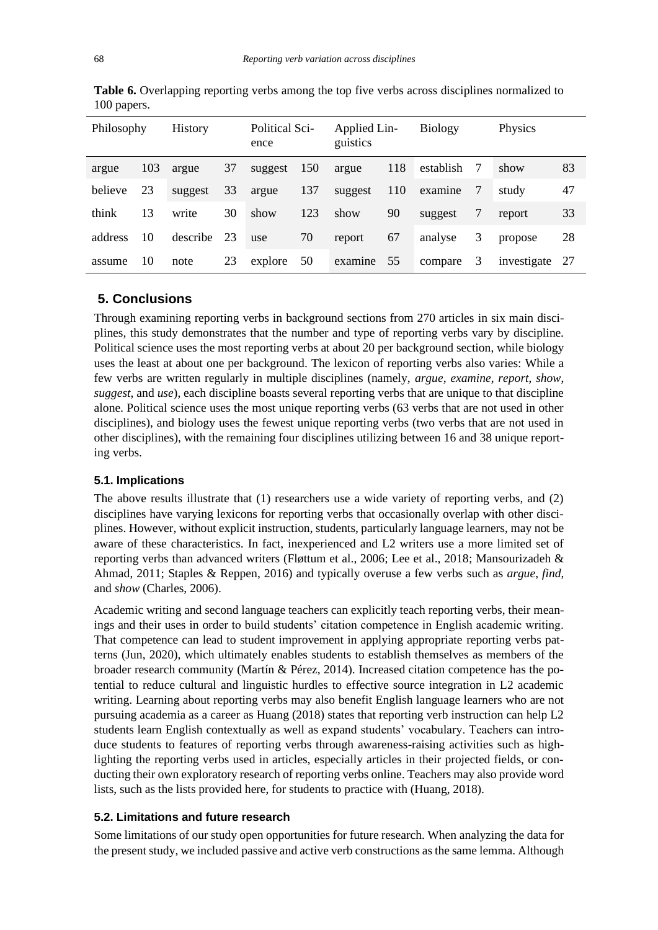| Philosophy |     | <b>History</b> |    | <b>Political Sci-</b><br>ence |     | Applied Lin-<br>guistics |     | <b>Biology</b> |    | Physics     |     |
|------------|-----|----------------|----|-------------------------------|-----|--------------------------|-----|----------------|----|-------------|-----|
| argue      | 103 | argue          | 37 | suggest                       | 150 | argue                    | 118 | establish      | -7 | show        | 83  |
| believe    | 23  | suggest        | 33 | argue                         | 137 | suggest                  | 110 | examine        | 7  | study       | 47  |
| think      | 13  | write          | 30 | show                          | 123 | show                     | 90  | suggest        | 7  | report      | 33  |
| address    | 10  | describe       | 23 | use                           | 70  | report                   | 67  | analyse        | 3  | propose     | 28  |
| assume     | 10  | note           | 23 | explore                       | 50  | examine                  | 55  | compare        | 3  | investigate | -27 |

Table **6.** Overlapping reporting verbs among the top five verbs across disciplines normalized to 100 papers.

# **5. Conclusions**

Through examining reporting verbs in background sections from 270 articles in six main disciplines, this study demonstrates that the number and type of reporting verbs vary by discipline. Political science uses the most reporting verbs at about 20 per background section, while biology uses the least at about one per background. The lexicon of reporting verbs also varies: While a few verbs are written regularly in multiple disciplines (namely, *argue*, *examine*, *report*, *show*, *suggest*, and *use*), each discipline boasts several reporting verbs that are unique to that discipline alone. Political science uses the most unique reporting verbs (63 verbs that are not used in other disciplines), and biology uses the fewest unique reporting verbs (two verbs that are not used in other disciplines), with the remaining four disciplines utilizing between 16 and 38 unique reporting verbs.

#### **5.1. Implications**

The above results illustrate that (1) researchers use a wide variety of reporting verbs, and (2) disciplines have varying lexicons for reporting verbs that occasionally overlap with other disciplines. However, without explicit instruction, students, particularly language learners, may not be aware of these characteristics. In fact, inexperienced and L2 writers use a more limited set of reporting verbs than advanced writers (Fløttum et al., 2006; Lee et al., 2018; Mansourizadeh & Ahmad, 2011; Staples & Reppen, 2016) and typically overuse a few verbs such as *argue*, *find*, and *show* (Charles, 2006).

Academic writing and second language teachers can explicitly teach reporting verbs, their meanings and their uses in order to build students' citation competence in English academic writing. That competence can lead to student improvement in applying appropriate reporting verbs patterns (Jun, 2020), which ultimately enables students to establish themselves as members of the broader research community (Martín & Pérez, 2014). Increased citation competence has the potential to reduce cultural and linguistic hurdles to effective source integration in L2 academic writing. Learning about reporting verbs may also benefit English language learners who are not pursuing academia as a career as Huang (2018) states that reporting verb instruction can help L2 students learn English contextually as well as expand students' vocabulary. Teachers can introduce students to features of reporting verbs through awareness-raising activities such as highlighting the reporting verbs used in articles, especially articles in their projected fields, or conducting their own exploratory research of reporting verbs online. Teachers may also provide word lists, such as the lists provided here, for students to practice with (Huang, 2018).

#### **5.2. Limitations and future research**

Some limitations of our study open opportunities for future research. When analyzing the data for the present study, we included passive and active verb constructions as the same lemma. Although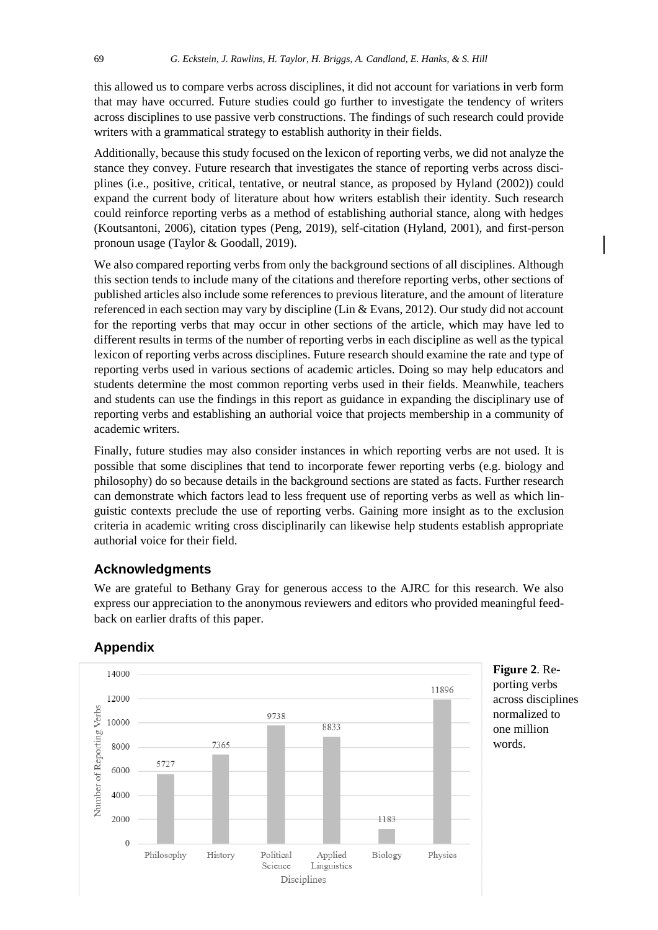this allowed us to compare verbs across disciplines, it did not account for variations in verb form that may have occurred. Future studies could go further to investigate the tendency of writers across disciplines to use passive verb constructions. The findings of such research could provide writers with a grammatical strategy to establish authority in their fields.

Additionally, because this study focused on the lexicon of reporting verbs, we did not analyze the stance they convey. Future research that investigates the stance of reporting verbs across disciplines (i.e., positive, critical, tentative, or neutral stance, as proposed by Hyland (2002)) could expand the current body of literature about how writers establish their identity. Such research could reinforce reporting verbs as a method of establishing authorial stance, along with hedges (Koutsantoni, 2006), citation types (Peng, 2019), self-citation (Hyland, 2001), and first-person pronoun usage (Taylor & Goodall, 2019).

We also compared reporting verbs from only the background sections of all disciplines. Although this section tends to include many of the citations and therefore reporting verbs, other sections of published articles also include some references to previous literature, and the amount of literature referenced in each section may vary by discipline (Lin & Evans, 2012). Our study did not account for the reporting verbs that may occur in other sections of the article, which may have led to different results in terms of the number of reporting verbs in each discipline as well as the typical lexicon of reporting verbs across disciplines. Future research should examine the rate and type of reporting verbs used in various sections of academic articles. Doing so may help educators and students determine the most common reporting verbs used in their fields. Meanwhile, teachers and students can use the findings in this report as guidance in expanding the disciplinary use of reporting verbs and establishing an authorial voice that projects membership in a community of academic writers.

Finally, future studies may also consider instances in which reporting verbs are not used. It is possible that some disciplines that tend to incorporate fewer reporting verbs (e.g. biology and philosophy) do so because details in the background sections are stated as facts. Further research can demonstrate which factors lead to less frequent use of reporting verbs as well as which linguistic contexts preclude the use of reporting verbs. Gaining more insight as to the exclusion criteria in academic writing cross disciplinarily can likewise help students establish appropriate authorial voice for their field.

#### **Acknowledgments**

We are grateful to Bethany Gray for generous access to the AJRC for this research. We also express our appreciation to the anonymous reviewers and editors who provided meaningful feedback on earlier drafts of this paper.



## **Appendix**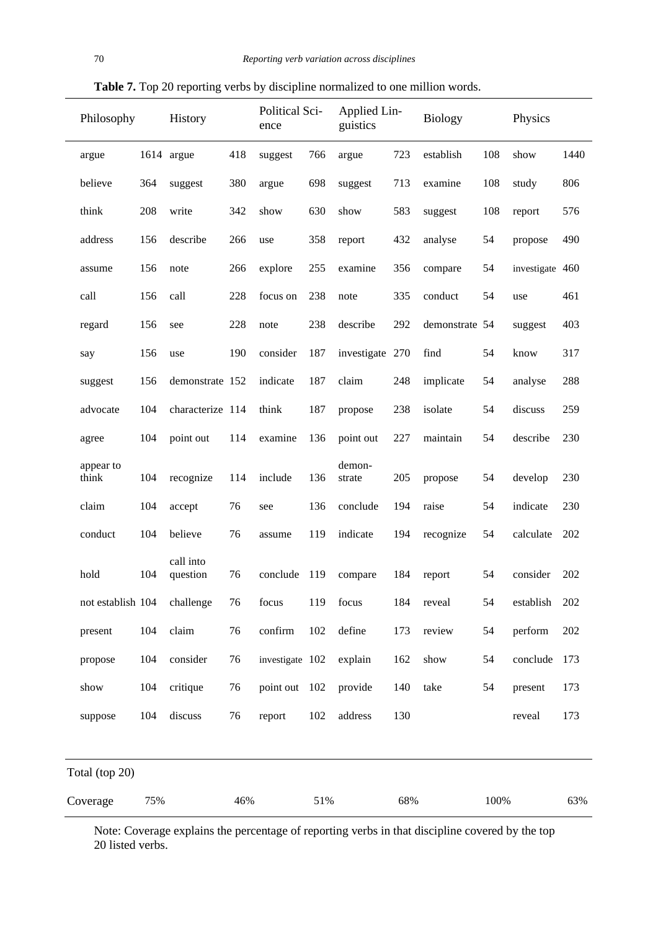| Philosophy      |                    |     | History               |     | Political Sci-<br>ence |     | Applied Lin-<br>guistics |     | <b>Biology</b> |     | Physics         |      |
|-----------------|--------------------|-----|-----------------------|-----|------------------------|-----|--------------------------|-----|----------------|-----|-----------------|------|
|                 | argue              |     | 1614 argue            | 418 | suggest                | 766 | argue                    | 723 | establish      | 108 | show            | 1440 |
|                 | believe            | 364 | suggest               | 380 | argue                  | 698 | suggest                  | 713 | examine        | 108 | study           | 806  |
|                 | think              | 208 | write                 | 342 | show                   | 630 | show                     | 583 | suggest        | 108 | report          | 576  |
|                 | address            | 156 | describe              | 266 | use                    | 358 | report                   | 432 | analyse        | 54  | propose         | 490  |
|                 | assume             | 156 | note                  | 266 | explore                | 255 | examine                  | 356 | compare        | 54  | investigate 460 |      |
|                 | call               | 156 | call                  | 228 | focus on               | 238 | note                     | 335 | conduct        | 54  | use             | 461  |
|                 | regard             | 156 | see                   | 228 | note                   | 238 | describe                 | 292 | demonstrate 54 |     | suggest         | 403  |
|                 | say                | 156 | use                   | 190 | consider               | 187 | investigate 270          |     | find           | 54  | know            | 317  |
|                 | suggest            | 156 | demonstrate 152       |     | indicate               | 187 | claim                    | 248 | implicate      | 54  | analyse         | 288  |
|                 | advocate           | 104 | characterize 114      |     | think                  | 187 | propose                  | 238 | isolate        | 54  | discuss         | 259  |
|                 | agree              | 104 | point out             | 114 | examine                | 136 | point out                | 227 | maintain       | 54  | describe        | 230  |
|                 | appear to<br>think | 104 | recognize             | 114 | include                | 136 | demon-<br>strate         | 205 | propose        | 54  | develop         | 230  |
|                 | claim              | 104 | accept                | 76  | see                    | 136 | conclude                 | 194 | raise          | 54  | indicate        | 230  |
|                 | conduct            | 104 | believe               | 76  | assume                 | 119 | indicate                 | 194 | recognize      | 54  | calculate       | 202  |
|                 | hold               | 104 | call into<br>question | 76  | conclude               | 119 | compare                  | 184 | report         | 54  | consider        | 202  |
|                 | not establish 104  |     | challenge             | 76  | focus                  | 119 | focus                    | 184 | reveal         | 54  | establish       | 202  |
|                 | present            | 104 | claim                 | 76  | confirm                | 102 | define                   | 173 | review         | 54  | perform         | 202  |
|                 | propose            | 104 | consider              | 76  | investigate 102        |     | explain                  | 162 | show           | 54  | conclude        | 173  |
|                 | show               | 104 | critique              | 76  | point out 102          |     | provide                  | 140 | take           | 54  | present         | 173  |
|                 | suppose            | 104 | discuss               | 76  | report                 | 102 | address                  | 130 |                |     | reveal          | 173  |
|                 | Total (top 20)     |     |                       |     |                        |     |                          |     |                |     |                 |      |
| Coverage<br>75% |                    |     | 46%                   |     | 51%                    |     | 68%                      |     | 100%           |     | 63%             |      |

**Table 7.** Top 20 reporting verbs by discipline normalized to one million words.

Note: Coverage explains the percentage of reporting verbs in that discipline covered by the top 20 listed verbs.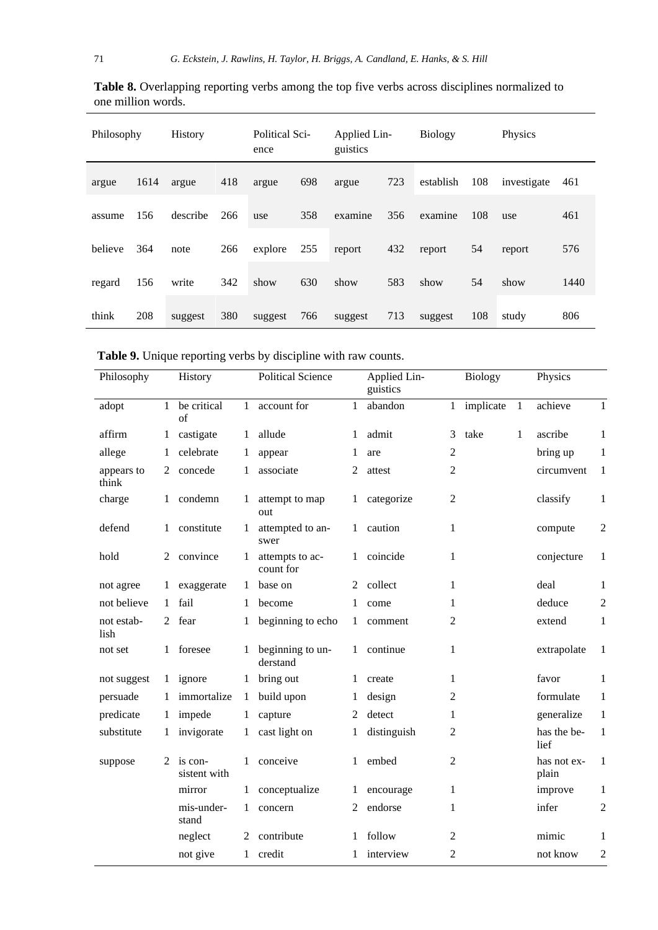| Philosophy |      | <b>History</b> |     | <b>Political Sci-</b><br>ence |     | Applied Lin-<br>guistics |     | <b>Biology</b> |     | Physics     |      |
|------------|------|----------------|-----|-------------------------------|-----|--------------------------|-----|----------------|-----|-------------|------|
| argue      | 1614 | argue          | 418 | argue                         | 698 | argue                    | 723 | establish      | 108 | investigate | 461  |
| assume     | 156  | describe       | 266 | use                           | 358 | examine                  | 356 | examine        | 108 | use         | 461  |
| believe    | 364  | note           | 266 | explore                       | 255 | report                   | 432 | report         | 54  | report      | 576  |
| regard     | 156  | write          | 342 | show                          | 630 | show                     | 583 | show           | 54  | show        | 1440 |
| think      | 208  | suggest        | 380 | suggest                       | 766 | suggest                  | 713 | suggest        | 108 | study       | 806  |

Table 8. Overlapping reporting verbs among the top five verbs across disciplines normalized to one million words.  $\overline{\phantom{a}}$ ÷,  $\overline{\phantom{a}}$ ÷,

**Table 9.** Unique reporting verbs by discipline with raw counts.

| Philosophy          |              | History                 |              | <b>Political Science</b>     |              | Applied Lin-<br>guistics |                | <b>Biology</b> |              | Physics              |                |
|---------------------|--------------|-------------------------|--------------|------------------------------|--------------|--------------------------|----------------|----------------|--------------|----------------------|----------------|
| adopt               | $\mathbf{1}$ | be critical<br>of       | $\mathbf{1}$ | account for                  | $\mathbf{1}$ | abandon                  | $\mathbf{1}$   | implicate      | $\mathbf{1}$ | achieve              | $\mathbf{1}$   |
| affirm              | 1            | castigate               | 1            | allude                       | 1            | admit                    | 3              | take           | 1            | ascribe              | $\mathbf{1}$   |
| allege              | 1            | celebrate               | 1            | appear                       | 1            | are                      | $\mathfrak{2}$ |                |              | bring up             | 1              |
| appears to<br>think | 2            | concede                 | 1            | associate                    | 2            | attest                   | 2              |                |              | circumvent           | 1              |
| charge              | $\mathbf{1}$ | condemn                 | $\mathbf{1}$ | attempt to map<br>out        | 1            | categorize               | $\overline{2}$ |                |              | classify             | 1              |
| defend              | 1            | constitute              | 1            | attempted to an-<br>swer     | $\mathbf{1}$ | caution                  | $\mathbf{1}$   |                |              | compute              | $\overline{c}$ |
| hold                | 2            | convince                | 1            | attempts to ac-<br>count for | 1            | coincide                 | 1              |                |              | conjecture           | 1              |
| not agree           | 1            | exaggerate              | 1            | base on                      | 2            | collect                  | 1              |                |              | deal                 | 1              |
| not believe         | $\mathbf{1}$ | fail                    | 1            | become                       | 1            | come                     | 1              |                |              | deduce               | $\mathfrak 2$  |
| not estab-<br>lish  | 2            | fear                    | 1            | beginning to echo            | 1            | comment                  | $\overline{c}$ |                |              | extend               | $\mathbf{1}$   |
| not set             |              | 1 foresee               | 1            | beginning to un-<br>derstand | $\mathbf{1}$ | continue                 | 1              |                |              | extrapolate          | $\mathbf{1}$   |
| not suggest         |              | 1 ignore                | 1            | bring out                    | 1            | create                   | 1              |                |              | favor                | 1              |
| persuade            | 1            | immortalize             | $\mathbf{1}$ | build upon                   | 1            | design                   | 2              |                |              | formulate            | $\mathbf{1}$   |
| predicate           | $\mathbf{1}$ | impede                  | $\mathbf{1}$ | capture                      | 2            | detect                   | 1              |                |              | generalize           | $\mathbf{1}$   |
| substitute          | 1            | invigorate              | 1            | cast light on                | 1            | distinguish              | 2              |                |              | has the be-<br>lief  | 1              |
| suppose             | 2            | is con-<br>sistent with | 1            | conceive                     | 1            | embed                    | 2              |                |              | has not ex-<br>plain | 1              |
|                     |              | mirror                  | 1            | conceptualize                | 1            | encourage                | 1              |                |              | improve              | 1              |
|                     |              | mis-under-<br>stand     | $\mathbf{1}$ | concern                      | 2            | endorse                  | 1              |                |              | infer                | $\overline{c}$ |
|                     |              | neglect                 | 2            | contribute                   |              | follow                   | 2              |                |              | mimic                | 1              |
|                     |              | not give                | $\mathbf{1}$ | credit                       |              | interview                | $\overline{c}$ |                |              | not know             | $\overline{c}$ |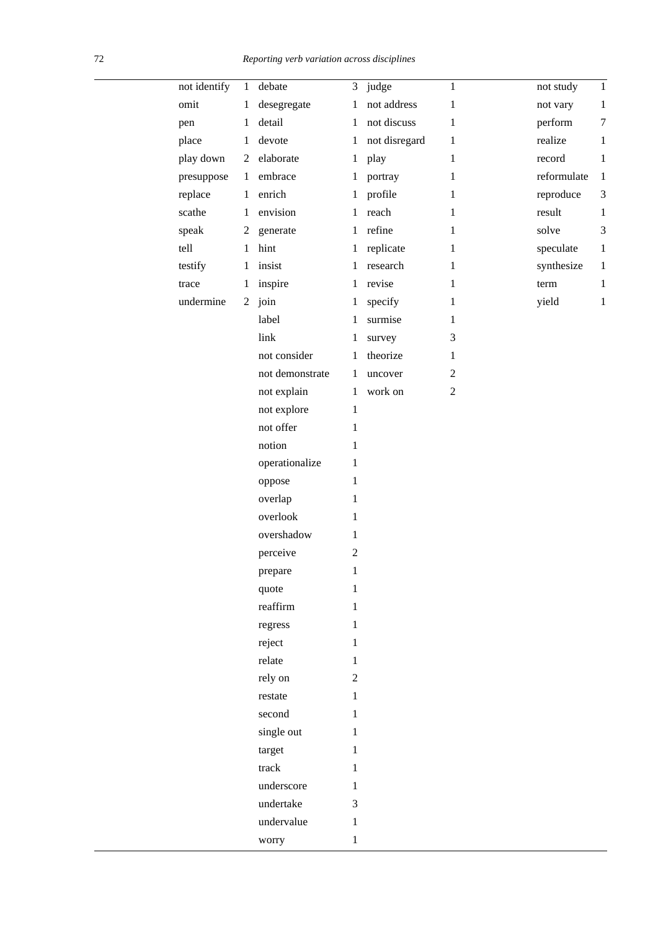| not identify | $\mathbf{1}$ | debate          | 3              | judge         | $\mathbf{1}$   | not study   | $\mathbf{1}$   |
|--------------|--------------|-----------------|----------------|---------------|----------------|-------------|----------------|
| omit         | 1            | desegregate     | 1              | not address   | 1              | not vary    | $\mathbf{1}$   |
| pen          | $\mathbf{1}$ | detail          | $\mathbf{1}$   | not discuss   | $\mathbf{1}$   | perform     | $\tau$         |
| place        | 1            | devote          | 1              | not disregard | $\mathbf{1}$   | realize     | $\mathbf{1}$   |
| play down    | 2            | elaborate       | 1              | play          | $\mathbf{1}$   | record      | $\mathbf{1}$   |
| presuppose   | $\mathbf{1}$ | embrace         | $\mathbf{1}$   | portray       | $\mathbf{1}$   | reformulate | $\mathbf{1}$   |
| replace      | $\mathbf{1}$ | enrich          | $\mathbf{1}$   | profile       | $\mathbf{1}$   | reproduce   | $\mathfrak{Z}$ |
| scathe       | $\mathbf{1}$ | envision        | 1              | reach         | $\mathbf{1}$   | result      | $\mathbf{1}$   |
| speak        | 2            | generate        | $\mathbf{1}$   | refine        | $\mathbf{1}$   | solve       | 3              |
| tell         | $\mathbf{1}$ | hint            | 1              | replicate     | $\mathbf{1}$   | speculate   | $\mathbf{1}$   |
| testify      | $\mathbf{1}$ | insist          | $\mathbf{1}$   | research      | $\mathbf{1}$   | synthesize  | $\mathbf{1}$   |
| trace        | $\mathbf{1}$ | inspire         | $\mathbf{1}$   | revise        | 1              | term        | 1              |
| undermine    |              | $2$ join        | $\mathbf{1}$   | specify       | $\mathbf{1}$   | yield       | $\mathbf{1}$   |
|              |              | label           | 1              | surmise       | $\mathbf{1}$   |             |                |
|              |              | link            | 1              | survey        | 3              |             |                |
|              |              | not consider    | $\mathbf{1}$   | theorize      | $\mathbf{1}$   |             |                |
|              |              | not demonstrate | 1              | uncover       | $\sqrt{2}$     |             |                |
|              |              | not explain     | $\mathbf{1}$   | work on       | $\overline{2}$ |             |                |
|              |              | not explore     | $\mathbf{1}$   |               |                |             |                |
|              |              | not offer       | 1              |               |                |             |                |
|              |              | notion          | 1              |               |                |             |                |
|              |              | operationalize  | 1              |               |                |             |                |
|              |              | oppose          | 1              |               |                |             |                |
|              |              | overlap         | 1              |               |                |             |                |
|              |              | overlook        | 1              |               |                |             |                |
|              |              | overshadow      | 1              |               |                |             |                |
|              |              | perceive        | $\overline{2}$ |               |                |             |                |
|              |              | prepare         | 1              |               |                |             |                |
|              |              | quote           | 1              |               |                |             |                |
|              |              | reaffirm        | 1              |               |                |             |                |
|              |              | regress         | 1              |               |                |             |                |
|              |              | reject          | 1              |               |                |             |                |
|              |              | relate          | $\mathbf{1}$   |               |                |             |                |
|              |              | rely on         | $\mathbf{2}$   |               |                |             |                |
|              |              | restate         | $\mathbf{1}$   |               |                |             |                |
|              |              | second          | 1              |               |                |             |                |
|              |              | single out      | $\mathbf{1}$   |               |                |             |                |
|              |              | target          | 1              |               |                |             |                |
|              |              | track           | 1              |               |                |             |                |
|              |              | underscore      | $\mathbf{1}$   |               |                |             |                |
|              |              | undertake       | 3              |               |                |             |                |
|              |              | undervalue      | $\mathbf{1}$   |               |                |             |                |
|              |              | worry           | $\mathbf{1}$   |               |                |             |                |
|              |              |                 |                |               |                |             |                |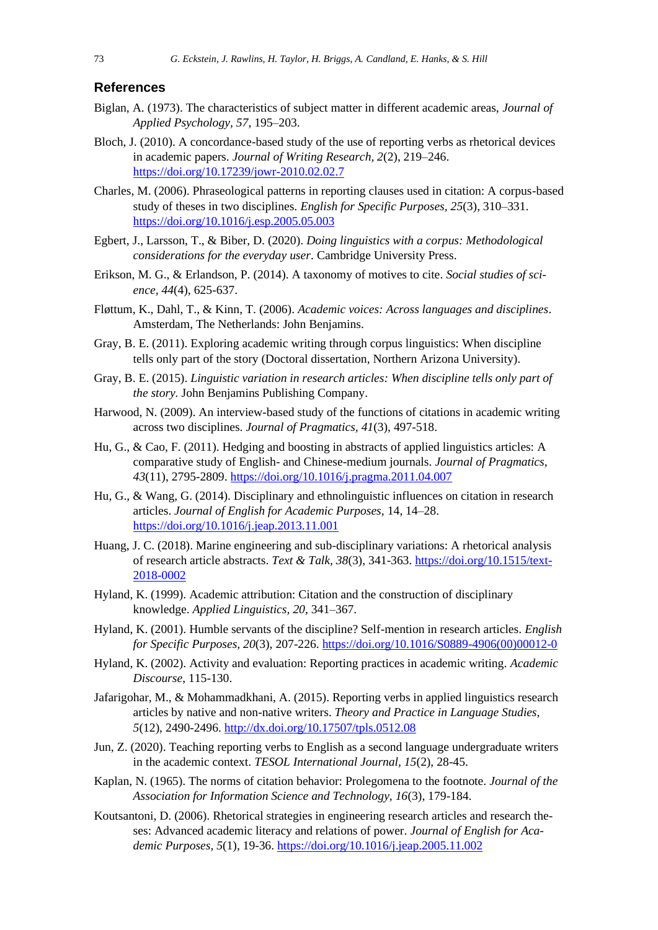#### **References**

- Biglan, A. (1973). The characteristics of subject matter in different academic areas, *Journal of Applied Psychology, 57*, 195–203.
- Bloch, J. (2010). A concordance-based study of the use of reporting verbs as rhetorical devices in academic papers. *Journal of Writing Research, 2*(2), 219–246. <https://doi.org/10.17239/jowr-2010.02.02.7>
- Charles, M. (2006). Phraseological patterns in reporting clauses used in citation: A corpus-based study of theses in two disciplines. *English for Specific Purposes, 25*(3), 310–331. <https://doi.org/10.1016/j.esp.2005.05.003>
- Egbert, J., Larsson, T., & Biber, D. (2020). *Doing linguistics with a corpus: Methodological considerations for the everyday user*. Cambridge University Press.
- Erikson, M. G., & Erlandson, P. (2014). A taxonomy of motives to cite. *Social studies of science, 44*(4), 625-637.
- Fløttum, K., Dahl, T., & Kinn, T. (2006). *Academic voices: Across languages and disciplines*. Amsterdam, The Netherlands: John Benjamins.
- Gray, B. E. (2011). Exploring academic writing through corpus linguistics: When discipline tells only part of the story (Doctoral dissertation, Northern Arizona University).
- Gray, B. E. (2015). *Linguistic variation in research articles: When discipline tells only part of the story.* John Benjamins Publishing Company.
- Harwood, N. (2009). An interview-based study of the functions of citations in academic writing across two disciplines. *Journal of Pragmatics, 41*(3), 497-518.
- Hu, G., & Cao, F. (2011). Hedging and boosting in abstracts of applied linguistics articles: A comparative study of English- and Chinese-medium journals. *Journal of Pragmatics, 43*(11), 2795-2809.<https://doi.org/10.1016/j.pragma.2011.04.007>
- Hu, G., & Wang, G. (2014). Disciplinary and ethnolinguistic influences on citation in research articles. *Journal of English for Academic Purposes,* 14, 14–28. <https://doi.org/10.1016/j.jeap.2013.11.001>
- Huang, J. C. (2018). Marine engineering and sub-disciplinary variations: A rhetorical analysis of research article abstracts. *Text & Talk, 38*(3), 341-363. [https://doi.org/10.1515/text-](https://doi.org/10.1515/text-2018-0002)[2018-0002](https://doi.org/10.1515/text-2018-0002)
- Hyland, K. (1999). Academic attribution: Citation and the construction of disciplinary knowledge. *Applied Linguistics, 20*, 341–367.
- Hyland, K. (2001). Humble servants of the discipline? Self-mention in research articles. *English for Specific Purposes, 20*(3), 207-226. [https://doi.org/10.1016/S0889-4906\(00\)00012-0](https://doi.org/10.1016/S0889-4906(00)00012-0)
- Hyland, K. (2002). Activity and evaluation: Reporting practices in academic writing. *Academic Discourse*, 115-130.
- Jafarigohar, M., & Mohammadkhani, A. (2015). Reporting verbs in applied linguistics research articles by native and non-native writers. *Theory and Practice in Language Studies, 5*(12), 2490-2496.<http://dx.doi.org/10.17507/tpls.0512.08>
- Jun, Z. (2020). Teaching reporting verbs to English as a second language undergraduate writers in the academic context. *TESOL International Journal, 15*(2), 28-45.
- Kaplan, N. (1965). The norms of citation behavior: Prolegomena to the footnote. *Journal of the Association for Information Science and Technology, 16*(3), 179-184.
- Koutsantoni, D. (2006). Rhetorical strategies in engineering research articles and research theses: Advanced academic literacy and relations of power. *Journal of English for Academic Purposes, 5*(1), 19-36. <https://doi.org/10.1016/j.jeap.2005.11.002>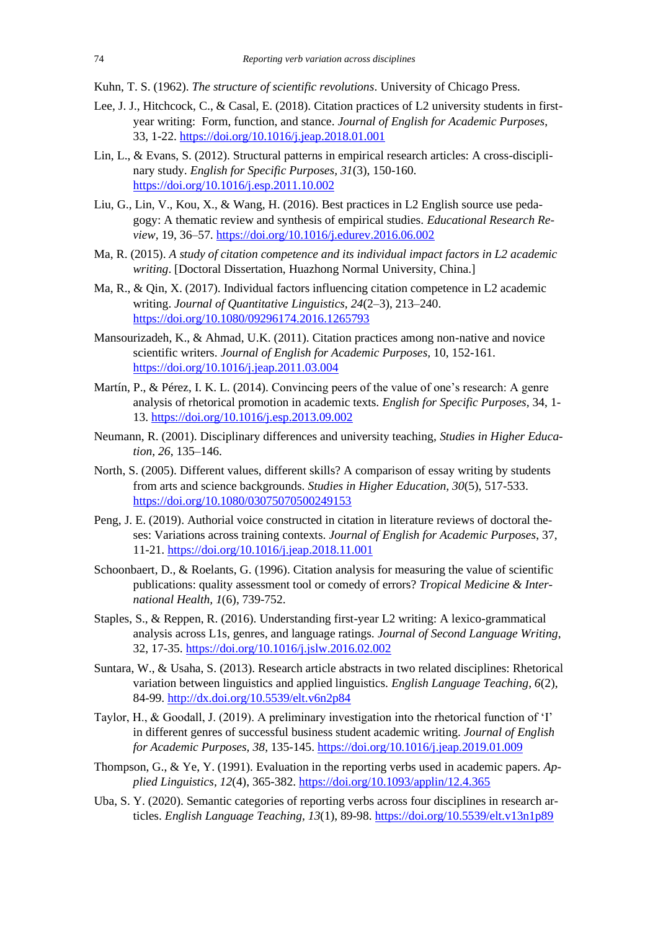Kuhn, T. S. (1962). *The structure of scientific revolutions*. University of Chicago Press.

- Lee, J. J., Hitchcock, C., & Casal, E. (2018). Citation practices of L2 university students in firstyear writing: Form, function, and stance. *Journal of English for Academic Purposes*, 33, 1-22.<https://doi.org/10.1016/j.jeap.2018.01.001>
- Lin, L., & Evans, S. (2012). Structural patterns in empirical research articles: A cross-disciplinary study. *English for Specific Purposes, 31*(3), 150-160[.](https://doi.org/10.1016/j.esp.2011.10.002) <https://doi.org/10.1016/j.esp.2011.10.002>
- Liu, G., Lin, V., Kou, X., & Wang, H. (2016). Best practices in L2 English source use pedagogy: A thematic review and synthesis of empirical studies. *Educational Research Review,* 19, 36–57.<https://doi.org/10.1016/j.edurev.2016.06.002>
- Ma, R. (2015). *A study of citation competence and its individual impact factors in L2 academic writing*. [Doctoral Dissertation, Huazhong Normal University, China.]
- Ma, R., & Qin, X. (2017). Individual factors influencing citation competence in L2 academic writing. *Journal of Quantitative Linguistics, 24*(2–3), 213–240. <https://doi.org/10.1080/09296174.2016.1265793>
- Mansourizadeh, K., & Ahmad, U.K. (2011). Citation practices among non-native and novice scientific writers. *Journal of English for Academic Purposes,* 10, 152-161. <https://doi.org/10.1016/j.jeap.2011.03.004>
- Martín, P., & Pérez, I. K. L. (2014). Convincing peers of the value of one's research: A genre analysis of rhetorical promotion in academic texts. *English for Specific Purposes,* 34, 1- 13. <https://doi.org/10.1016/j.esp.2013.09.002>
- Neumann, R. (2001). Disciplinary differences and university teaching, *Studies in Higher Education, 26*, 135–146.
- North, S. (2005). Different values, different skills? A comparison of essay writing by students from arts and science backgrounds. *Studies in Higher Education, 30*(5), 517-533. <https://doi.org/10.1080/03075070500249153>
- Peng, J. E. (2019). Authorial voice constructed in citation in literature reviews of doctoral theses: Variations across training contexts. *Journal of English for Academic Purposes*, 37, 11-21. <https://doi.org/10.1016/j.jeap.2018.11.001>
- Schoonbaert, D., & Roelants, G. (1996). Citation analysis for measuring the value of scientific publications: quality assessment tool or comedy of errors? *Tropical Medicine & International Health, 1*(6), 739-752.
- Staples, S., & Reppen, R. (2016). Understanding first-year L2 writing: A lexico-grammatical analysis across L1s, genres, and language ratings. *Journal of Second Language Writing*, 32, 17-35. <https://doi.org/10.1016/j.jslw.2016.02.002>
- Suntara, W., & Usaha, S. (2013). Research article abstracts in two related disciplines: Rhetorical variation between linguistics and applied linguistics. *English Language Teaching, 6*(2), 84-99.<http://dx.doi.org/10.5539/elt.v6n2p84>
- Taylor, H., & Goodall, J. (2019). A preliminary investigation into the rhetorical function of 'I' in different genres of successful business student academic writing. *Journal of English for Academic Purposes, 38*, 135-145. <https://doi.org/10.1016/j.jeap.2019.01.009>
- Thompson, G., & Ye, Y. (1991). Evaluation in the reporting verbs used in academic papers. *Applied Linguistics, 12*(4), 365-382.<https://doi.org/10.1093/applin/12.4.365>
- Uba, S. Y. (2020). Semantic categories of reporting verbs across four disciplines in research articles. *English Language Teaching, 13*(1), 89-98.<https://doi.org/10.5539/elt.v13n1p89>